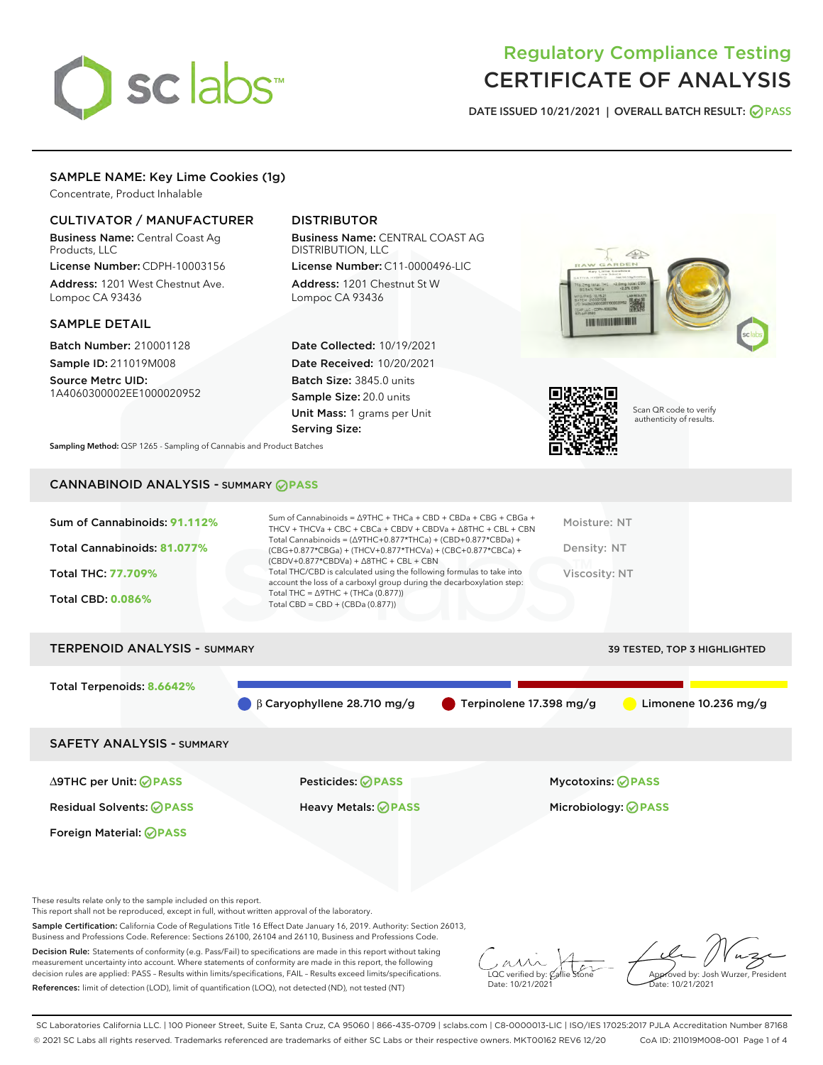# sclabs<sup>\*</sup>

# Regulatory Compliance Testing CERTIFICATE OF ANALYSIS

DATE ISSUED 10/21/2021 | OVERALL BATCH RESULT: @ PASS

# SAMPLE NAME: Key Lime Cookies (1g)

Concentrate, Product Inhalable

# CULTIVATOR / MANUFACTURER

Business Name: Central Coast Ag Products, LLC

License Number: CDPH-10003156 Address: 1201 West Chestnut Ave. Lompoc CA 93436

### SAMPLE DETAIL

Batch Number: 210001128 Sample ID: 211019M008

Source Metrc UID: 1A4060300002EE1000020952

# DISTRIBUTOR

Business Name: CENTRAL COAST AG DISTRIBUTION, LLC License Number: C11-0000496-LIC

Address: 1201 Chestnut St W Lompoc CA 93436

Date Collected: 10/19/2021 Date Received: 10/20/2021 Batch Size: 3845.0 units Sample Size: 20.0 units Unit Mass: 1 grams per Unit Serving Size:





Scan QR code to verify authenticity of results.

Sampling Method: QSP 1265 - Sampling of Cannabis and Product Batches

# CANNABINOID ANALYSIS - SUMMARY **PASS**

| Sum of Cannabinoids: 91.112% | Sum of Cannabinoids = $\triangle$ 9THC + THCa + CBD + CBDa + CBG + CBGa +<br>THCV + THCVa + CBC + CBCa + CBDV + CBDVa + $\Delta$ 8THC + CBL + CBN                                    | Moisture: NT  |
|------------------------------|--------------------------------------------------------------------------------------------------------------------------------------------------------------------------------------|---------------|
| Total Cannabinoids: 81.077%  | Total Cannabinoids = $(\Delta$ 9THC+0.877*THCa) + (CBD+0.877*CBDa) +<br>(CBG+0.877*CBGa) + (THCV+0.877*THCVa) + (CBC+0.877*CBCa) +<br>$(CBDV+0.877*CBDVa) + \Delta 8THC + CBL + CBN$ | Density: NT   |
| <b>Total THC: 77.709%</b>    | Total THC/CBD is calculated using the following formulas to take into<br>account the loss of a carboxyl group during the decarboxylation step:                                       | Viscosity: NT |
| <b>Total CBD: 0.086%</b>     | Total THC = $\triangle$ 9THC + (THCa (0.877))<br>Total CBD = $CBD + (CBDa (0.877))$                                                                                                  |               |
|                              |                                                                                                                                                                                      |               |

| <b>TERPENOID ANALYSIS - SUMMARY</b> |                                   |                                        | 39 TESTED, TOP 3 HIGHLIGHTED |
|-------------------------------------|-----------------------------------|----------------------------------------|------------------------------|
| Total Terpenoids: 8.6642%           | $\beta$ Caryophyllene 28.710 mg/g | $\blacksquare$ Terpinolene 17.398 mg/g | Limonene $10.236$ mg/g       |
| <b>SAFETY ANALYSIS - SUMMARY</b>    |                                   |                                        |                              |
| ∆9THC per Unit: ⊘PASS               | <b>Pesticides: ⊘ PASS</b>         | <b>Mycotoxins: ⊘PASS</b>               |                              |

Residual Solvents: **PASS** Heavy Metals: **PASS** Microbiology: **PASS**

Foreign Material: **PASS**

These results relate only to the sample included on this report.

This report shall not be reproduced, except in full, without written approval of the laboratory.

Sample Certification: California Code of Regulations Title 16 Effect Date January 16, 2019. Authority: Section 26013, Business and Professions Code. Reference: Sections 26100, 26104 and 26110, Business and Professions Code.

Decision Rule: Statements of conformity (e.g. Pass/Fail) to specifications are made in this report without taking measurement uncertainty into account. Where statements of conformity are made in this report, the following decision rules are applied: PASS – Results within limits/specifications, FAIL – Results exceed limits/specifications. References: limit of detection (LOD), limit of quantification (LOQ), not detected (ND), not tested (NT)

 $\overline{\text{LOC}}$  verified by:  $\mathcal C$ Date: 10/21/2021

Approved by: Josh Wurzer, President Date: 10/21/2021

SC Laboratories California LLC. | 100 Pioneer Street, Suite E, Santa Cruz, CA 95060 | 866-435-0709 | sclabs.com | C8-0000013-LIC | ISO/IES 17025:2017 PJLA Accreditation Number 87168 © 2021 SC Labs all rights reserved. Trademarks referenced are trademarks of either SC Labs or their respective owners. MKT00162 REV6 12/20 CoA ID: 211019M008-001 Page 1 of 4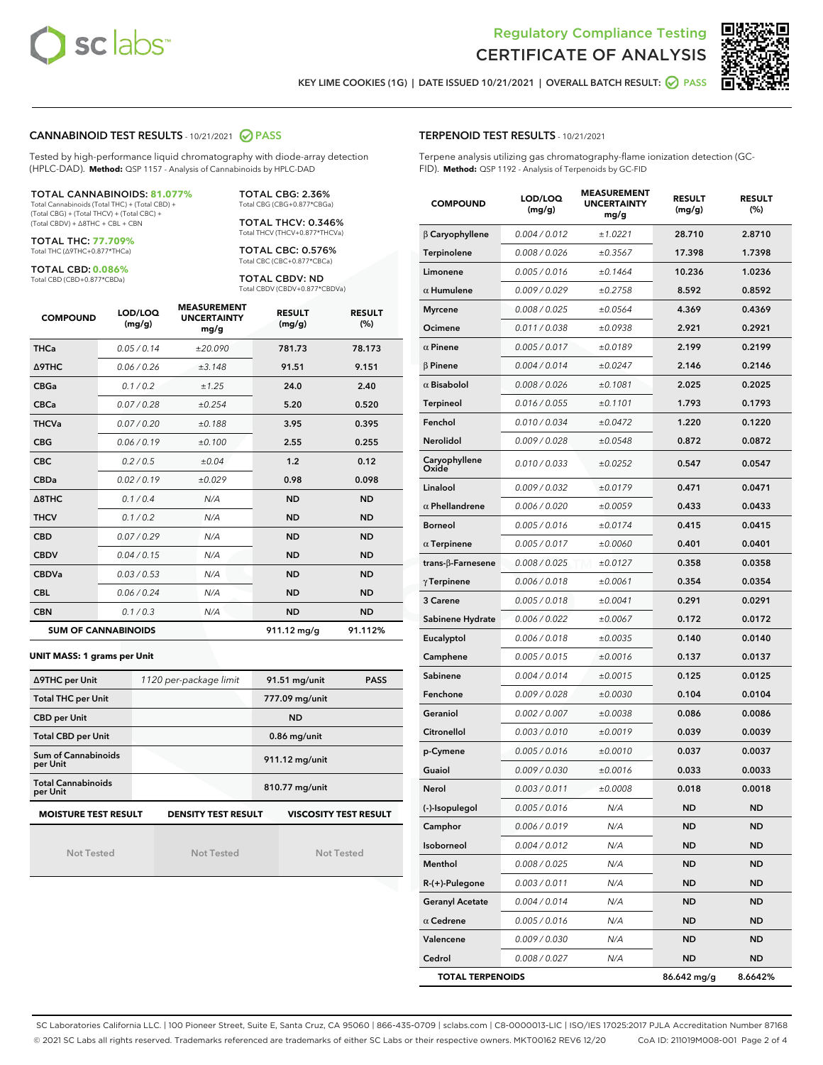



KEY LIME COOKIES (1G) | DATE ISSUED 10/21/2021 | OVERALL BATCH RESULT: **O PASS** 

#### CANNABINOID TEST RESULTS - 10/21/2021 2 PASS

Tested by high-performance liquid chromatography with diode-array detection (HPLC-DAD). **Method:** QSP 1157 - Analysis of Cannabinoids by HPLC-DAD

#### TOTAL CANNABINOIDS: **81.077%**

Total Cannabinoids (Total THC) + (Total CBD) + (Total CBG) + (Total THCV) + (Total CBC) + (Total CBDV) + ∆8THC + CBL + CBN

TOTAL THC: **77.709%** Total THC (∆9THC+0.877\*THCa)

TOTAL CBD: **0.086%**

Total CBD (CBD+0.877\*CBDa)

TOTAL CBG: 2.36% Total CBG (CBG+0.877\*CBGa)

TOTAL THCV: 0.346% Total THCV (THCV+0.877\*THCVa)

TOTAL CBC: 0.576% Total CBC (CBC+0.877\*CBCa)

TOTAL CBDV: ND Total CBDV (CBDV+0.877\*CBDVa)

| <b>COMPOUND</b>  | LOD/LOQ<br>(mg/g)          | <b>MEASUREMENT</b><br><b>UNCERTAINTY</b><br>mg/g | <b>RESULT</b><br>(mg/g) | <b>RESULT</b><br>(%) |
|------------------|----------------------------|--------------------------------------------------|-------------------------|----------------------|
| <b>THCa</b>      | 0.05 / 0.14                | ±20.090                                          | 781.73                  | 78.173               |
| <b>A9THC</b>     | 0.06 / 0.26                | ±3.148                                           | 91.51                   | 9.151                |
| <b>CBGa</b>      | 0.1 / 0.2                  | ±1.25                                            | 24.0                    | 2.40                 |
| <b>CBCa</b>      | 0.07 / 0.28                | ±0.254                                           | 5.20                    | 0.520                |
| <b>THCVa</b>     | 0.07/0.20                  | ±0.188                                           | 3.95                    | 0.395                |
| <b>CBG</b>       | 0.06/0.19                  | ±0.100                                           | 2.55                    | 0.255                |
| <b>CBC</b>       | 0.2 / 0.5                  | ±0.04                                            | 1.2                     | 0.12                 |
| <b>CBDa</b>      | 0.02/0.19                  | ±0.029                                           | 0.98                    | 0.098                |
| $\triangle$ 8THC | 0.1/0.4                    | N/A                                              | <b>ND</b>               | <b>ND</b>            |
| <b>THCV</b>      | 0.1 / 0.2                  | N/A                                              | <b>ND</b>               | <b>ND</b>            |
| <b>CBD</b>       | 0.07/0.29                  | N/A                                              | <b>ND</b>               | <b>ND</b>            |
| <b>CBDV</b>      | 0.04 / 0.15                | N/A                                              | <b>ND</b>               | <b>ND</b>            |
| <b>CBDVa</b>     | 0.03 / 0.53                | N/A                                              | <b>ND</b>               | <b>ND</b>            |
| <b>CBL</b>       | 0.06 / 0.24                | N/A                                              | <b>ND</b>               | <b>ND</b>            |
| <b>CBN</b>       | 0.1/0.3                    | N/A                                              | <b>ND</b>               | <b>ND</b>            |
|                  | <b>SUM OF CANNABINOIDS</b> |                                                  | 911.12 mg/g             | 91.112%              |

#### **UNIT MASS: 1 grams per Unit**

| ∆9THC per Unit                        | 1120 per-package limit     | 91.51 mg/unit<br><b>PASS</b> |  |  |
|---------------------------------------|----------------------------|------------------------------|--|--|
| <b>Total THC per Unit</b>             |                            | 777.09 mg/unit               |  |  |
| <b>CBD per Unit</b>                   |                            | <b>ND</b>                    |  |  |
| <b>Total CBD per Unit</b>             |                            | $0.86$ mg/unit               |  |  |
| Sum of Cannabinoids<br>per Unit       |                            | 911.12 mg/unit               |  |  |
| <b>Total Cannabinoids</b><br>per Unit |                            | 810.77 mg/unit               |  |  |
| <b>MOISTURE TEST RESULT</b>           | <b>DENSITY TEST RESULT</b> | <b>VISCOSITY TEST RESULT</b> |  |  |

Not Tested

Not Tested

Not Tested

| <b>TERPENOID TEST RESULTS - 10/21/2021</b> |  |  |  |
|--------------------------------------------|--|--|--|
|--------------------------------------------|--|--|--|

Terpene analysis utilizing gas chromatography-flame ionization detection (GC-FID). **Method:** QSP 1192 - Analysis of Terpenoids by GC-FID

| <b>COMPOUND</b>         | LOD/LOQ<br>(mg/g) | <b>MEASUREMENT</b><br><b>UNCERTAINTY</b><br>mg/g | <b>RESULT</b><br>(mg/g) | <b>RESULT</b><br>(%) |
|-------------------------|-------------------|--------------------------------------------------|-------------------------|----------------------|
| $\beta$ Caryophyllene   | 0.004 / 0.012     | ±1.0221                                          | 28.710                  | 2.8710               |
| Terpinolene             | 0.008 / 0.026     | ±0.3567                                          | 17.398                  | 1.7398               |
| Limonene                | 0.005 / 0.016     | ±0.1464                                          | 10.236                  | 1.0236               |
| $\alpha$ Humulene       | 0.009 / 0.029     | ±0.2758                                          | 8.592                   | 0.8592               |
| <b>Myrcene</b>          | 0.008 / 0.025     | ±0.0564                                          | 4.369                   | 0.4369               |
| Ocimene                 | 0.011 / 0.038     | ±0.0938                                          | 2.921                   | 0.2921               |
| $\alpha$ Pinene         | 0.005 / 0.017     | ±0.0189                                          | 2.199                   | 0.2199               |
| $\beta$ Pinene          | 0.004 / 0.014     | ±0.0247                                          | 2.146                   | 0.2146               |
| $\alpha$ Bisabolol      | 0.008 / 0.026     | ±0.1081                                          | 2.025                   | 0.2025               |
| <b>Terpineol</b>        | 0.016 / 0.055     | ±0.1101                                          | 1.793                   | 0.1793               |
| Fenchol                 | 0.010 / 0.034     | ±0.0472                                          | 1.220                   | 0.1220               |
| <b>Nerolidol</b>        | 0.009 / 0.028     | ±0.0548                                          | 0.872                   | 0.0872               |
| Caryophyllene<br>Oxide  | 0.010 / 0.033     | ±0.0252                                          | 0.547                   | 0.0547               |
| Linalool                | 0.009 / 0.032     | ±0.0179                                          | 0.471                   | 0.0471               |
| $\alpha$ Phellandrene   | 0.006 / 0.020     | ±0.0059                                          | 0.433                   | 0.0433               |
| <b>Borneol</b>          | 0.005 / 0.016     | ±0.0174                                          | 0.415                   | 0.0415               |
| $\alpha$ Terpinene      | 0.005 / 0.017     | ±0.0060                                          | 0.401                   | 0.0401               |
| trans-ß-Farnesene       | 0.008 / 0.025     | ±0.0127                                          | 0.358                   | 0.0358               |
| $\gamma$ Terpinene      | 0.006 / 0.018     | ±0.0061                                          | 0.354                   | 0.0354               |
| 3 Carene                | 0.005 / 0.018     | ±0.0041                                          | 0.291                   | 0.0291               |
| Sabinene Hydrate        | 0.006 / 0.022     | ±0.0067                                          | 0.172                   | 0.0172               |
| Eucalyptol              | 0.006 / 0.018     | ±0.0035                                          | 0.140                   | 0.0140               |
| Camphene                | 0.005 / 0.015     | ±0.0016                                          | 0.137                   | 0.0137               |
| Sabinene                | 0.004 / 0.014     | ±0.0015                                          | 0.125                   | 0.0125               |
| Fenchone                | 0.009 / 0.028     | ±0.0030                                          | 0.104                   | 0.0104               |
| Geraniol                | 0.002 / 0.007     | ±0.0038                                          | 0.086                   | 0.0086               |
| Citronellol             | 0.003/0.010       | ±0.0019                                          | 0.039                   | 0.0039               |
| p-Cymene                | 0.005 / 0.016     | ±0.0010                                          | 0.037                   | 0.0037               |
| Guaiol                  | 0.009 / 0.030     | ±0.0016                                          | 0.033                   | 0.0033               |
| Nerol                   | 0.003 / 0.011     | ±0.0008                                          | 0.018                   | 0.0018               |
| (-)-Isopulegol          | 0.005 / 0.016     | N/A                                              | ND                      | ND                   |
| Camphor                 | 0.006 / 0.019     | N/A                                              | <b>ND</b>               | ND                   |
| Isoborneol              | 0.004 / 0.012     | N/A                                              | <b>ND</b>               | <b>ND</b>            |
| Menthol                 | 0.008 / 0.025     | N/A                                              | ND                      | <b>ND</b>            |
| R-(+)-Pulegone          | 0.003 / 0.011     | N/A                                              | ND                      | ND                   |
| <b>Geranyl Acetate</b>  | 0.004 / 0.014     | N/A                                              | <b>ND</b>               | <b>ND</b>            |
| $\alpha$ Cedrene        | 0.005 / 0.016     | N/A                                              | ND                      | <b>ND</b>            |
| Valencene               | 0.009 / 0.030     | N/A                                              | ND                      | ND                   |
| Cedrol                  | 0.008 / 0.027     | N/A                                              | <b>ND</b>               | ND                   |
| <b>TOTAL TERPENOIDS</b> |                   |                                                  | 86.642 mg/g             | 8.6642%              |

SC Laboratories California LLC. | 100 Pioneer Street, Suite E, Santa Cruz, CA 95060 | 866-435-0709 | sclabs.com | C8-0000013-LIC | ISO/IES 17025:2017 PJLA Accreditation Number 87168 © 2021 SC Labs all rights reserved. Trademarks referenced are trademarks of either SC Labs or their respective owners. MKT00162 REV6 12/20 CoA ID: 211019M008-001 Page 2 of 4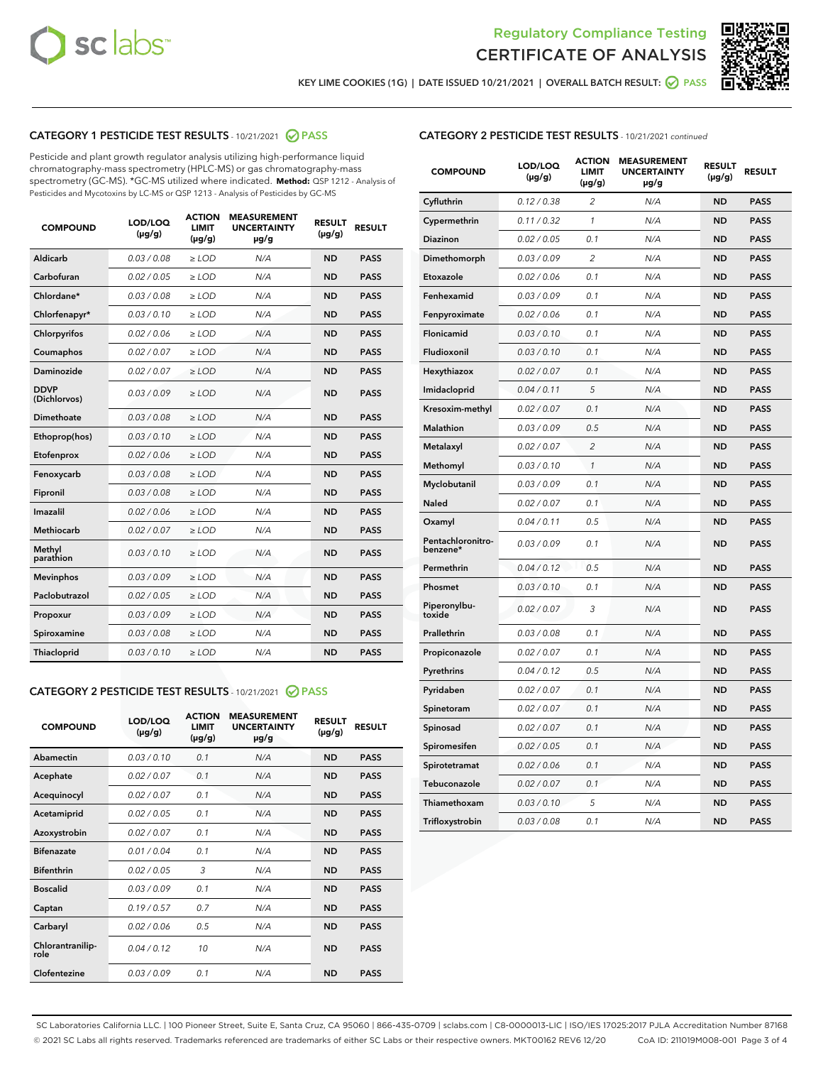



KEY LIME COOKIES (1G) | DATE ISSUED 10/21/2021 | OVERALL BATCH RESULT: @ PASS

# CATEGORY 1 PESTICIDE TEST RESULTS - 10/21/2021 2 PASS

Pesticide and plant growth regulator analysis utilizing high-performance liquid chromatography-mass spectrometry (HPLC-MS) or gas chromatography-mass spectrometry (GC-MS). \*GC-MS utilized where indicated. **Method:** QSP 1212 - Analysis of Pesticides and Mycotoxins by LC-MS or QSP 1213 - Analysis of Pesticides by GC-MS

| Aldicarb<br>0.03 / 0.08<br><b>ND</b><br>$\ge$ LOD<br>N/A<br><b>PASS</b><br>Carbofuran<br>0.02/0.05<br>N/A<br><b>ND</b><br><b>PASS</b><br>$\ge$ LOD<br>Chlordane*<br>0.03 / 0.08<br><b>ND</b><br><b>PASS</b><br>$\ge$ LOD<br>N/A<br>0.03/0.10<br><b>ND</b><br><b>PASS</b><br>Chlorfenapyr*<br>$\ge$ LOD<br>N/A<br>0.02 / 0.06<br>N/A<br><b>ND</b><br><b>PASS</b><br>Chlorpyrifos<br>$\ge$ LOD<br>0.02 / 0.07<br>N/A<br><b>ND</b><br><b>PASS</b><br>Coumaphos<br>$>$ LOD<br><b>ND</b><br><b>PASS</b><br>Daminozide<br>0.02 / 0.07<br>$\ge$ LOD<br>N/A<br><b>DDVP</b><br>0.03/0.09<br>$\ge$ LOD<br>N/A<br><b>ND</b><br><b>PASS</b><br>(Dichlorvos)<br>Dimethoate<br><b>ND</b><br><b>PASS</b><br>0.03 / 0.08<br>$>$ LOD<br>N/A<br>Ethoprop(hos)<br>0.03/0.10<br>$\ge$ LOD<br>N/A<br><b>ND</b><br><b>PASS</b><br>0.02 / 0.06<br>$\ge$ LOD<br>N/A<br><b>ND</b><br><b>PASS</b><br>Etofenprox<br>Fenoxycarb<br>0.03 / 0.08<br>$>$ LOD<br>N/A<br><b>ND</b><br><b>PASS</b><br>0.03/0.08<br><b>ND</b><br><b>PASS</b><br>Fipronil<br>$\ge$ LOD<br>N/A<br>Imazalil<br>0.02 / 0.06<br>$>$ LOD<br>N/A<br><b>ND</b><br><b>PASS</b><br>Methiocarb<br>0.02 / 0.07<br>N/A<br><b>ND</b><br><b>PASS</b><br>$\ge$ LOD<br>Methyl<br>0.03/0.10<br>$\ge$ LOD<br>N/A<br><b>ND</b><br><b>PASS</b><br>parathion<br>0.03/0.09<br>$\ge$ LOD<br>N/A<br><b>ND</b><br><b>PASS</b><br><b>Mevinphos</b><br>Paclobutrazol<br>0.02 / 0.05<br>$\ge$ LOD<br>N/A<br><b>ND</b><br><b>PASS</b><br>0.03/0.09<br>N/A<br>$\ge$ LOD<br><b>ND</b><br><b>PASS</b><br>Propoxur<br>0.03 / 0.08<br><b>ND</b><br><b>PASS</b><br>Spiroxamine<br>$\ge$ LOD<br>N/A<br><b>PASS</b><br>Thiacloprid<br>0.03/0.10<br>$\ge$ LOD<br>N/A<br><b>ND</b> | <b>COMPOUND</b> | LOD/LOQ<br>$(\mu g/g)$ | <b>ACTION</b><br><b>LIMIT</b><br>$(\mu g/g)$ | <b>MEASUREMENT</b><br><b>UNCERTAINTY</b><br>$\mu$ g/g | <b>RESULT</b><br>$(\mu g/g)$ | <b>RESULT</b> |
|-----------------------------------------------------------------------------------------------------------------------------------------------------------------------------------------------------------------------------------------------------------------------------------------------------------------------------------------------------------------------------------------------------------------------------------------------------------------------------------------------------------------------------------------------------------------------------------------------------------------------------------------------------------------------------------------------------------------------------------------------------------------------------------------------------------------------------------------------------------------------------------------------------------------------------------------------------------------------------------------------------------------------------------------------------------------------------------------------------------------------------------------------------------------------------------------------------------------------------------------------------------------------------------------------------------------------------------------------------------------------------------------------------------------------------------------------------------------------------------------------------------------------------------------------------------------------------------------------------------------------------------------------------------------------------------------|-----------------|------------------------|----------------------------------------------|-------------------------------------------------------|------------------------------|---------------|
|                                                                                                                                                                                                                                                                                                                                                                                                                                                                                                                                                                                                                                                                                                                                                                                                                                                                                                                                                                                                                                                                                                                                                                                                                                                                                                                                                                                                                                                                                                                                                                                                                                                                                         |                 |                        |                                              |                                                       |                              |               |
|                                                                                                                                                                                                                                                                                                                                                                                                                                                                                                                                                                                                                                                                                                                                                                                                                                                                                                                                                                                                                                                                                                                                                                                                                                                                                                                                                                                                                                                                                                                                                                                                                                                                                         |                 |                        |                                              |                                                       |                              |               |
|                                                                                                                                                                                                                                                                                                                                                                                                                                                                                                                                                                                                                                                                                                                                                                                                                                                                                                                                                                                                                                                                                                                                                                                                                                                                                                                                                                                                                                                                                                                                                                                                                                                                                         |                 |                        |                                              |                                                       |                              |               |
|                                                                                                                                                                                                                                                                                                                                                                                                                                                                                                                                                                                                                                                                                                                                                                                                                                                                                                                                                                                                                                                                                                                                                                                                                                                                                                                                                                                                                                                                                                                                                                                                                                                                                         |                 |                        |                                              |                                                       |                              |               |
|                                                                                                                                                                                                                                                                                                                                                                                                                                                                                                                                                                                                                                                                                                                                                                                                                                                                                                                                                                                                                                                                                                                                                                                                                                                                                                                                                                                                                                                                                                                                                                                                                                                                                         |                 |                        |                                              |                                                       |                              |               |
|                                                                                                                                                                                                                                                                                                                                                                                                                                                                                                                                                                                                                                                                                                                                                                                                                                                                                                                                                                                                                                                                                                                                                                                                                                                                                                                                                                                                                                                                                                                                                                                                                                                                                         |                 |                        |                                              |                                                       |                              |               |
|                                                                                                                                                                                                                                                                                                                                                                                                                                                                                                                                                                                                                                                                                                                                                                                                                                                                                                                                                                                                                                                                                                                                                                                                                                                                                                                                                                                                                                                                                                                                                                                                                                                                                         |                 |                        |                                              |                                                       |                              |               |
|                                                                                                                                                                                                                                                                                                                                                                                                                                                                                                                                                                                                                                                                                                                                                                                                                                                                                                                                                                                                                                                                                                                                                                                                                                                                                                                                                                                                                                                                                                                                                                                                                                                                                         |                 |                        |                                              |                                                       |                              |               |
|                                                                                                                                                                                                                                                                                                                                                                                                                                                                                                                                                                                                                                                                                                                                                                                                                                                                                                                                                                                                                                                                                                                                                                                                                                                                                                                                                                                                                                                                                                                                                                                                                                                                                         |                 |                        |                                              |                                                       |                              |               |
|                                                                                                                                                                                                                                                                                                                                                                                                                                                                                                                                                                                                                                                                                                                                                                                                                                                                                                                                                                                                                                                                                                                                                                                                                                                                                                                                                                                                                                                                                                                                                                                                                                                                                         |                 |                        |                                              |                                                       |                              |               |
|                                                                                                                                                                                                                                                                                                                                                                                                                                                                                                                                                                                                                                                                                                                                                                                                                                                                                                                                                                                                                                                                                                                                                                                                                                                                                                                                                                                                                                                                                                                                                                                                                                                                                         |                 |                        |                                              |                                                       |                              |               |
|                                                                                                                                                                                                                                                                                                                                                                                                                                                                                                                                                                                                                                                                                                                                                                                                                                                                                                                                                                                                                                                                                                                                                                                                                                                                                                                                                                                                                                                                                                                                                                                                                                                                                         |                 |                        |                                              |                                                       |                              |               |
|                                                                                                                                                                                                                                                                                                                                                                                                                                                                                                                                                                                                                                                                                                                                                                                                                                                                                                                                                                                                                                                                                                                                                                                                                                                                                                                                                                                                                                                                                                                                                                                                                                                                                         |                 |                        |                                              |                                                       |                              |               |
|                                                                                                                                                                                                                                                                                                                                                                                                                                                                                                                                                                                                                                                                                                                                                                                                                                                                                                                                                                                                                                                                                                                                                                                                                                                                                                                                                                                                                                                                                                                                                                                                                                                                                         |                 |                        |                                              |                                                       |                              |               |
|                                                                                                                                                                                                                                                                                                                                                                                                                                                                                                                                                                                                                                                                                                                                                                                                                                                                                                                                                                                                                                                                                                                                                                                                                                                                                                                                                                                                                                                                                                                                                                                                                                                                                         |                 |                        |                                              |                                                       |                              |               |
|                                                                                                                                                                                                                                                                                                                                                                                                                                                                                                                                                                                                                                                                                                                                                                                                                                                                                                                                                                                                                                                                                                                                                                                                                                                                                                                                                                                                                                                                                                                                                                                                                                                                                         |                 |                        |                                              |                                                       |                              |               |
|                                                                                                                                                                                                                                                                                                                                                                                                                                                                                                                                                                                                                                                                                                                                                                                                                                                                                                                                                                                                                                                                                                                                                                                                                                                                                                                                                                                                                                                                                                                                                                                                                                                                                         |                 |                        |                                              |                                                       |                              |               |
|                                                                                                                                                                                                                                                                                                                                                                                                                                                                                                                                                                                                                                                                                                                                                                                                                                                                                                                                                                                                                                                                                                                                                                                                                                                                                                                                                                                                                                                                                                                                                                                                                                                                                         |                 |                        |                                              |                                                       |                              |               |
|                                                                                                                                                                                                                                                                                                                                                                                                                                                                                                                                                                                                                                                                                                                                                                                                                                                                                                                                                                                                                                                                                                                                                                                                                                                                                                                                                                                                                                                                                                                                                                                                                                                                                         |                 |                        |                                              |                                                       |                              |               |
|                                                                                                                                                                                                                                                                                                                                                                                                                                                                                                                                                                                                                                                                                                                                                                                                                                                                                                                                                                                                                                                                                                                                                                                                                                                                                                                                                                                                                                                                                                                                                                                                                                                                                         |                 |                        |                                              |                                                       |                              |               |
|                                                                                                                                                                                                                                                                                                                                                                                                                                                                                                                                                                                                                                                                                                                                                                                                                                                                                                                                                                                                                                                                                                                                                                                                                                                                                                                                                                                                                                                                                                                                                                                                                                                                                         |                 |                        |                                              |                                                       |                              |               |

#### CATEGORY 2 PESTICIDE TEST RESULTS - 10/21/2021 @ PASS

| <b>COMPOUND</b>          | LOD/LOQ<br>$(\mu g/g)$ | <b>ACTION</b><br>LIMIT<br>$(\mu g/g)$ | <b>MEASUREMENT</b><br><b>UNCERTAINTY</b><br>$\mu$ g/g | <b>RESULT</b><br>$(\mu g/g)$ | <b>RESULT</b> |  |
|--------------------------|------------------------|---------------------------------------|-------------------------------------------------------|------------------------------|---------------|--|
| Abamectin                | 0.03/0.10              | 0.1                                   | N/A                                                   | <b>ND</b>                    | <b>PASS</b>   |  |
| Acephate                 | 0.02/0.07              | 0.1                                   | N/A                                                   | <b>ND</b>                    | <b>PASS</b>   |  |
| Acequinocyl              | 0.02/0.07              | 0.1                                   | N/A                                                   | <b>ND</b>                    | <b>PASS</b>   |  |
| Acetamiprid              | 0.02/0.05              | 0.1                                   | N/A                                                   | <b>ND</b>                    | <b>PASS</b>   |  |
| Azoxystrobin             | 0.02/0.07              | 0.1                                   | N/A                                                   | <b>ND</b>                    | <b>PASS</b>   |  |
| <b>Bifenazate</b>        | 0.01/0.04              | 0.1                                   | N/A                                                   | <b>ND</b>                    | <b>PASS</b>   |  |
| <b>Bifenthrin</b>        | 0.02 / 0.05            | 3                                     | N/A                                                   | <b>ND</b>                    | <b>PASS</b>   |  |
| <b>Boscalid</b>          | 0.03/0.09              | 0.1                                   | N/A                                                   | <b>ND</b>                    | <b>PASS</b>   |  |
| Captan                   | 0.19/0.57              | 07                                    | N/A                                                   | <b>ND</b>                    | <b>PASS</b>   |  |
| Carbaryl                 | 0.02/0.06              | 0.5                                   | N/A                                                   | <b>ND</b>                    | <b>PASS</b>   |  |
| Chlorantranilip-<br>role | 0.04/0.12              | 10                                    | N/A                                                   | <b>ND</b>                    | <b>PASS</b>   |  |
| Clofentezine             | 0.03/0.09              | 0.1                                   | N/A                                                   | <b>ND</b>                    | <b>PASS</b>   |  |

| <b>COMPOUND</b>               | LOD/LOQ<br>(µg/g) | <b>ACTION</b><br>LIMIT<br>(µg/g) | <b>MEASUREMENT</b><br><b>UNCERTAINTY</b><br>µg/g | <b>RESULT</b><br>(µg/g) | <b>RESULT</b> |
|-------------------------------|-------------------|----------------------------------|--------------------------------------------------|-------------------------|---------------|
| Cyfluthrin                    | 0.12 / 0.38       | $\overline{c}$                   | N/A                                              | <b>ND</b>               | <b>PASS</b>   |
| Cypermethrin                  | 0.11/0.32         | 1                                | N/A                                              | <b>ND</b>               | <b>PASS</b>   |
| <b>Diazinon</b>               | 0.02 / 0.05       | 0.1                              | N/A                                              | <b>ND</b>               | <b>PASS</b>   |
| Dimethomorph                  | 0.03 / 0.09       | 2                                | N/A                                              | <b>ND</b>               | <b>PASS</b>   |
| Etoxazole                     | 0.02 / 0.06       | 0.1                              | N/A                                              | <b>ND</b>               | <b>PASS</b>   |
| Fenhexamid                    | 0.03 / 0.09       | 0.1                              | N/A                                              | <b>ND</b>               | <b>PASS</b>   |
| Fenpyroximate                 | 0.02 / 0.06       | 0.1                              | N/A                                              | <b>ND</b>               | <b>PASS</b>   |
| Flonicamid                    | 0.03 / 0.10       | 0.1                              | N/A                                              | <b>ND</b>               | <b>PASS</b>   |
| Fludioxonil                   | 0.03/0.10         | 0.1                              | N/A                                              | <b>ND</b>               | <b>PASS</b>   |
| Hexythiazox                   | 0.02 / 0.07       | 0.1                              | N/A                                              | <b>ND</b>               | <b>PASS</b>   |
| Imidacloprid                  | 0.04 / 0.11       | 5                                | N/A                                              | <b>ND</b>               | <b>PASS</b>   |
| Kresoxim-methyl               | 0.02 / 0.07       | 0.1                              | N/A                                              | <b>ND</b>               | <b>PASS</b>   |
| Malathion                     | 0.03 / 0.09       | 0.5                              | N/A                                              | <b>ND</b>               | <b>PASS</b>   |
| Metalaxyl                     | 0.02 / 0.07       | $\overline{c}$                   | N/A                                              | <b>ND</b>               | <b>PASS</b>   |
| Methomyl                      | 0.03 / 0.10       | 1                                | N/A                                              | <b>ND</b>               | <b>PASS</b>   |
| Myclobutanil                  | 0.03/0.09         | 0.1                              | N/A                                              | <b>ND</b>               | <b>PASS</b>   |
| Naled                         | 0.02 / 0.07       | 0.1                              | N/A                                              | <b>ND</b>               | <b>PASS</b>   |
| Oxamyl                        | 0.04 / 0.11       | 0.5                              | N/A                                              | <b>ND</b>               | <b>PASS</b>   |
| Pentachloronitro-<br>benzene* | 0.03/0.09         | 0.1                              | N/A                                              | <b>ND</b>               | <b>PASS</b>   |
| Permethrin                    | 0.04 / 0.12       | 0.5                              | N/A                                              | <b>ND</b>               | <b>PASS</b>   |
| Phosmet                       | 0.03 / 0.10       | 0.1                              | N/A                                              | <b>ND</b>               | <b>PASS</b>   |
| Piperonylbu-<br>toxide        | 0.02 / 0.07       | 3                                | N/A                                              | <b>ND</b>               | <b>PASS</b>   |
| Prallethrin                   | 0.03 / 0.08       | 0.1                              | N/A                                              | <b>ND</b>               | <b>PASS</b>   |
| Propiconazole                 | 0.02 / 0.07       | 0.1                              | N/A                                              | <b>ND</b>               | <b>PASS</b>   |
| Pyrethrins                    | 0.04 / 0.12       | 0.5                              | N/A                                              | <b>ND</b>               | <b>PASS</b>   |
| Pyridaben                     | 0.02 / 0.07       | 0.1                              | N/A                                              | <b>ND</b>               | <b>PASS</b>   |
| Spinetoram                    | 0.02 / 0.07       | 0.1                              | N/A                                              | <b>ND</b>               | <b>PASS</b>   |
| Spinosad                      | 0.02 / 0.07       | 0.1                              | N/A                                              | <b>ND</b>               | <b>PASS</b>   |
| Spiromesifen                  | 0.02 / 0.05       | 0.1                              | N/A                                              | <b>ND</b>               | <b>PASS</b>   |
| Spirotetramat                 | 0.02 / 0.06       | 0.1                              | N/A                                              | <b>ND</b>               | <b>PASS</b>   |
| Tebuconazole                  | 0.02 / 0.07       | 0.1                              | N/A                                              | <b>ND</b>               | <b>PASS</b>   |
| Thiamethoxam                  | 0.03 / 0.10       | 5                                | N/A                                              | <b>ND</b>               | <b>PASS</b>   |
| Trifloxystrobin               | 0.03 / 0.08       | 0.1                              | N/A                                              | <b>ND</b>               | <b>PASS</b>   |

SC Laboratories California LLC. | 100 Pioneer Street, Suite E, Santa Cruz, CA 95060 | 866-435-0709 | sclabs.com | C8-0000013-LIC | ISO/IES 17025:2017 PJLA Accreditation Number 87168 © 2021 SC Labs all rights reserved. Trademarks referenced are trademarks of either SC Labs or their respective owners. MKT00162 REV6 12/20 CoA ID: 211019M008-001 Page 3 of 4